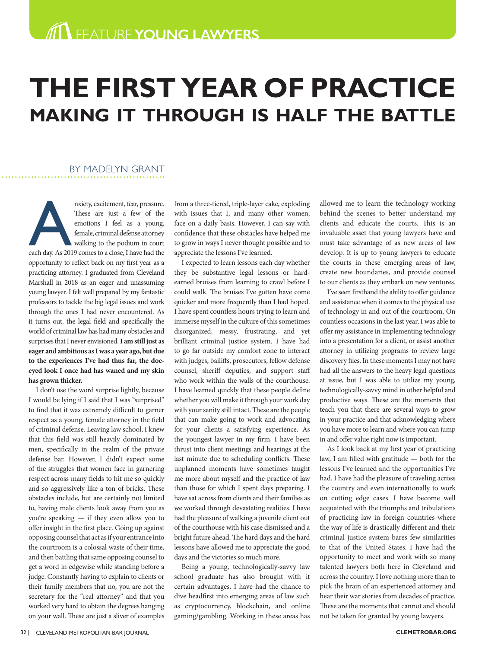# **THE FIRST YEAR OF PRACTICE MAKING IT THROUGH IS HALF THE BATTLE**

## BY MADELYN GRANT

nxiety, excitement, fear, pressure.<br>
These are just a few of the<br>
emotions I feel as a young,<br>
female, criminal defense attorney<br>
walking to the podium in court<br>
each day. As 2019 comes to a close, I have had the These are just a few of the emotions I feel as a young, female, criminal defense attorney walking to the podium in court opportunity to reflect back on my first year as a practicing attorney. I graduated from Cleveland Marshall in 2018 as an eager and unassuming young lawyer. I felt well prepared by my fantastic professors to tackle the big legal issues and work through the ones I had never encountered. As it turns out, the legal field and specifically the world of criminal law has had many obstacles and surprises that I never envisioned. **I am still just as eager and ambitious as I was a year ago, but due to the experiences I've had thus far, the doeeyed look I once had has waned and my skin has grown thicker.** 

I don't use the word surprise lightly, because I would be lying if I said that I was "surprised" to find that it was extremely difficult to garner respect as a young, female attorney in the field of criminal defense. Leaving law school, I knew that this field was still heavily dominated by men, specifically in the realm of the private defense bar. However, I didn't expect some of the struggles that women face in garnering respect across many fields to hit me so quickly and so aggressively like a ton of bricks. These obstacles include, but are certainly not limited to, having male clients look away from you as you're speaking — if they even allow you to offer insight in the first place. Going up against opposing counsel that act as if your entrance into the courtroom is a colossal waste of their time, and then battling that same opposing counsel to get a word in edgewise while standing before a judge. Constantly having to explain to clients or their family members that no, you are not the secretary for the "real attorney" and that you worked very hard to obtain the degrees hanging on your wall. These are just a sliver of examples

from a three-tiered, triple-layer cake, exploding with issues that I, and many other women, face on a daily basis. However, I can say with confidence that these obstacles have helped me to grow in ways I never thought possible and to appreciate the lessons I've learned.

I expected to learn lessons each day whether they be substantive legal lessons or hardearned bruises from learning to crawl before I could walk. The bruises I've gotten have come quicker and more frequently than I had hoped. I have spent countless hours trying to learn and immerse myself in the culture of this sometimes disorganized, messy, frustrating, and yet brilliant criminal justice system. I have had to go far outside my comfort zone to interact with judges, bailiffs, prosecutors, fellow defense counsel, sheriff deputies, and support staff who work within the walls of the courthouse. I have learned quickly that these people define whether you will make it through your work day with your sanity still intact. These are the people that can make going to work and advocating for your clients a satisfying experience. As the youngest lawyer in my firm, I have been thrust into client meetings and hearings at the last minute due to scheduling conflicts. These unplanned moments have sometimes taught me more about myself and the practice of law than those for which I spent days preparing. I have sat across from clients and their families as we worked through devastating realities. I have had the pleasure of walking a juvenile client out of the courthouse with his case dismissed and a bright future ahead. The hard days and the hard lessons have allowed me to appreciate the good days and the victories so much more.

Being a young, technologically-savvy law school graduate has also brought with it certain advantages. I have had the chance to dive headfirst into emerging areas of law such as cryptocurrency, blockchain, and online gaming/gambling. Working in these areas has

allowed me to learn the technology working behind the scenes to better understand my clients and educate the courts. This is an invaluable asset that young lawyers have and must take advantage of as new areas of law develop. It is up to young lawyers to educate the courts in these emerging areas of law, create new boundaries, and provide counsel to our clients as they embark on new ventures.

I've seen firsthand the ability to offer guidance and assistance when it comes to the physical use of technology in and out of the courtroom. On countless occasions in the last year, I was able to offer my assistance in implementing technology into a presentation for a client, or assist another attorney in utilizing programs to review large discovery files. In these moments I may not have had all the answers to the heavy legal questions at issue, but I was able to utilize my young, technologically-savvy mind in other helpful and productive ways. These are the moments that teach you that there are several ways to grow in your practice and that acknowledging where you have more to learn and where you can jump in and offer value right now is important.

As I look back at my first year of practicing law, I am filled with gratitude — both for the lessons I've learned and the opportunities I've had. I have had the pleasure of traveling across the country and even internationally to work on cutting edge cases. I have become well acquainted with the triumphs and tribulations of practicing law in foreign countries where the way of life is drastically different and their criminal justice system bares few similarities to that of the United States. I have had the opportunity to meet and work with so many talented lawyers both here in Cleveland and across the country. I love nothing more than to pick the brain of an experienced attorney and hear their war stories from decades of practice. These are the moments that cannot and should not be taken for granted by young lawyers.